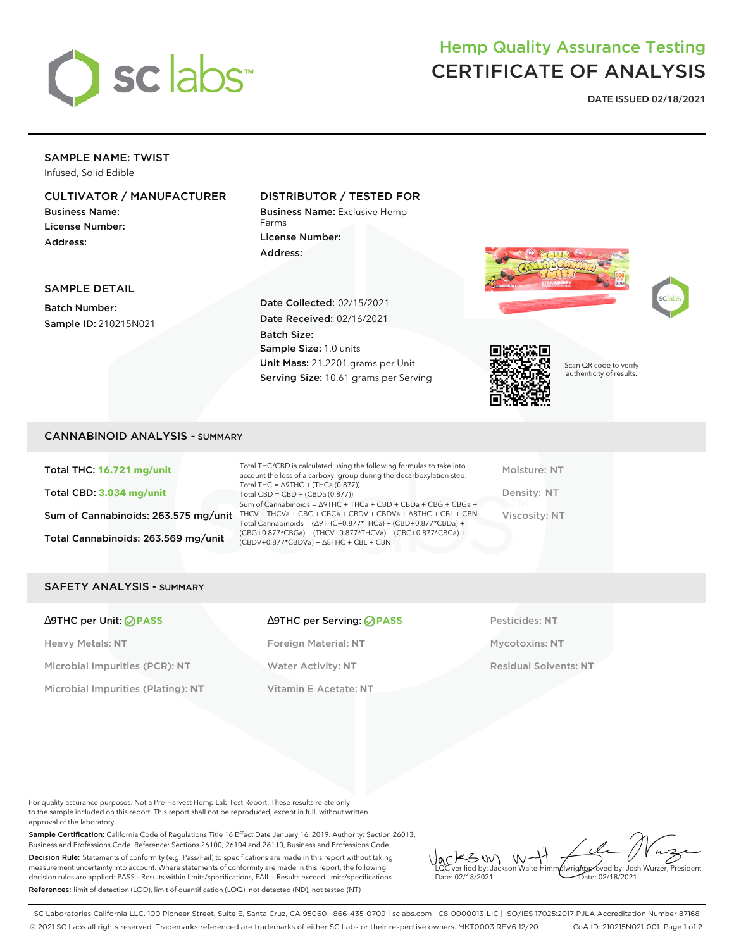

# Hemp Quality Assurance Testing CERTIFICATE OF ANALYSIS

**DATE ISSUED 02/18/2021**

## SAMPLE NAME: TWIST

Infused, Solid Edible

## CULTIVATOR / MANUFACTURER

Business Name: License Number: Address:

### DISTRIBUTOR / TESTED FOR

Business Name: Exclusive Hemp Farms License Number: Address:

Scan QR code to verify authenticity of results.



SAMPLE DETAIL

Batch Number: Sample ID: 210215N021 Date Collected: 02/15/2021 Date Received: 02/16/2021 Batch Size: Sample Size: 1.0 units Unit Mass: 21.2201 grams per Unit Serving Size: 10.61 grams per Serving

# CANNABINOID ANALYSIS - SUMMARY

Total THC: **16.721 mg/unit** Total CBD: **3.034 mg/unit** Sum of Cannabinoids: 263.575 mg/unit Total Cannabinoids: 263.569 mg/unit

Total THC/CBD is calculated using the following formulas to take into account the loss of a carboxyl group during the decarboxylation step: Total THC = ∆9THC + (THCa (0.877)) Total CBD = CBD + (CBDa (0.877)) Sum of Cannabinoids = ∆9THC + THCa + CBD + CBDa + CBG + CBGa + THCV + THCVa + CBC + CBCa + CBDV + CBDVa + ∆8THC + CBL + CBN Total Cannabinoids = (∆9THC+0.877\*THCa) + (CBD+0.877\*CBDa) + (CBG+0.877\*CBGa) + (THCV+0.877\*THCVa) + (CBC+0.877\*CBCa) + (CBDV+0.877\*CBDVa) + ∆8THC + CBL + CBN

Moisture: NT Density: NT Viscosity: NT

#### SAFETY ANALYSIS - SUMMARY

| ∆9THC per Unit: ⊘PASS |  |  |  |  |
|-----------------------|--|--|--|--|
|-----------------------|--|--|--|--|

Heavy Metals: **NT** Foreign Material: **NT** Mycotoxins: **NT** Microbial Impurities (PCR): **NT** Water Activity: **NT** Residual Solvents: **NT** Microbial Impurities (Plating): **NT** Vitamin E Acetate: **NT**

# ∆9THC per Unit: **PASS** ∆9THC per Serving: **PASS** Pesticides: **NT**

For quality assurance purposes. Not a Pre-Harvest Hemp Lab Test Report. These results relate only to the sample included on this report. This report shall not be reproduced, except in full, without written approval of the laboratory.

Sample Certification: California Code of Regulations Title 16 Effect Date January 16, 2019. Authority: Section 26013, Business and Professions Code. Reference: Sections 26100, 26104 and 26110, Business and Professions Code. Decision Rule: Statements of conformity (e.g. Pass/Fail) to specifications are made in this report without taking measurement uncertainty into account. Where statements of conformity are made in this report, the following decision rules are applied: PASS – Results within limits/specifications, FAIL – Results exceed limits/specifications. References: limit of detection (LOD), limit of quantification (LOQ), not detected (ND), not tested (NT)

 $W + 1$ KSW Approved by: Josh Wurzer, President LQC verified by: Jackson Waite-Himmelwright Date: 02/18/2021 Date: 02/18/2021

SC Laboratories California LLC. 100 Pioneer Street, Suite E, Santa Cruz, CA 95060 | 866-435-0709 | sclabs.com | C8-0000013-LIC | ISO/IES 17025:2017 PJLA Accreditation Number 87168 © 2021 SC Labs all rights reserved. Trademarks referenced are trademarks of either SC Labs or their respective owners. MKT0003 REV6 12/20 CoA ID: 210215N021-001 Page 1 of 2